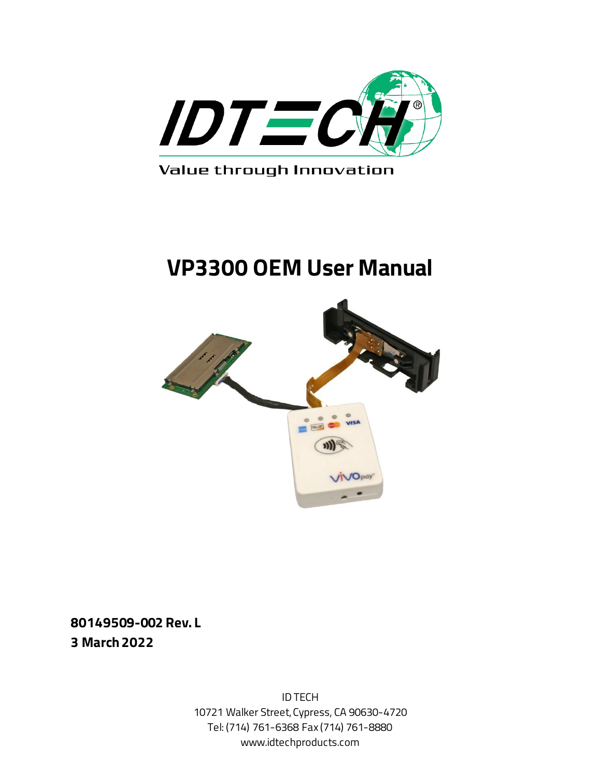

Value through Innovation

# **VP3300 OEM User Manual**



**80149509-002 Rev. L 3 March 2022**

> ID TECH 10721 Walker Street, Cypress, CA 90630-4720 Tel: (714) 761-6368 Fax (714) 761-8880 www.idtechproducts.com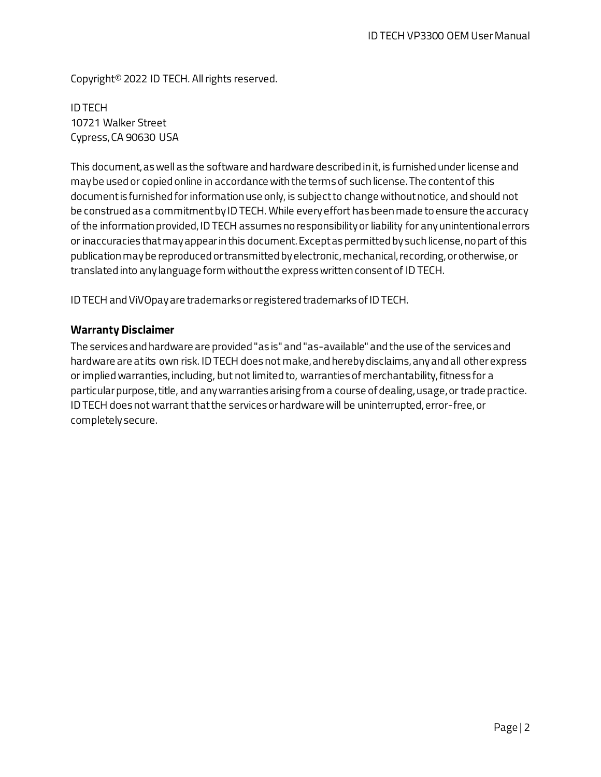Copyright© 2022 ID TECH. All rights reserved.

ID TECH 10721 Walker Street Cypress, CA 90630 USA

This document, as well as the software and hardware described in it, is furnished under license and may be used or copied online in accordance with the terms of such license. The content of this document is furnished for information use only, is subject to change without notice, and should not be construed as a commitment by ID TECH. While every effort has been made to ensure the accuracy of the information provided, ID TECH assumes no responsibility or liability for any unintentional errors or inaccuracies that may appear in this document. Except as permitted by such license, no part of this publication may be reproduced or transmitted by electronic, mechanical, recording, or otherwise, or translated into any language form without the express written consent of ID TECH.

ID TECH and ViVOpay are trademarks orregistered trademarks of ID TECH.

#### **Warranty Disclaimer**

The services and hardware are provided "as is" and "as-available" and the use of the services and hardware are at its own risk. ID TECH does not make, and hereby disclaims, any and all other express or implied warranties, including, but not limited to, warranties of merchantability, fitness for a particular purpose, title, and any warranties arising from a course of dealing, usage, or trade practice. ID TECH does not warrant that the services or hardware will be uninterrupted, error-free, or completely secure.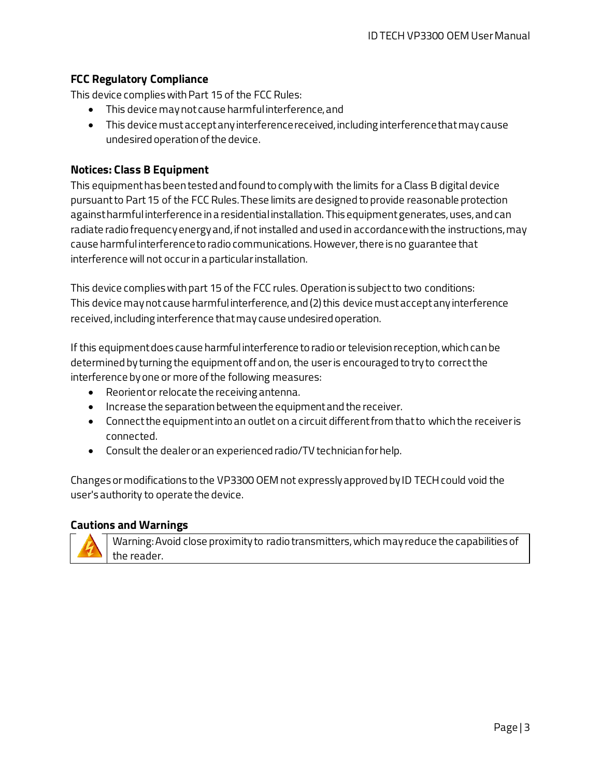#### **FCC Regulatory Compliance**

This device complies with Part 15 of the FCC Rules:

- This device may not cause harmful interference, and
- This device must accept any interference received, including interference that may cause undesired operation of the device.

#### **Notices: Class B Equipment**

This equipment has been tested and found to comply with the limits for a Class B digital device pursuant to Part 15 of the FCC Rules. These limits are designed to provide reasonable protection against harmful interference in a residential installation. This equipment generates, uses, and can radiate radio frequency energy and, if not installed and used in accordance with the instructions, may cause harmful interference to radio communications. However, there is no guarantee that interference will not occur in a particular installation.

This device complies with part 15 of the FCC rules. Operation is subject to two conditions: This device may not cause harmful interference, and (2) this device must accept any interference received, including interference that may cause undesired operation.

If this equipment does cause harmful interference to radio or television reception, which can be determined by turning the equipment off and on, the user is encouraged to try to correct the interference by one or more of the following measures:

- Reorient or relocate the receiving antenna.
- Increase the separation between the equipment and the receiver.
- Connect the equipment into an outlet on a circuit different from that to which the receiver is connected.
- Consult the dealer or an experienced radio/TV technician for help.

Changes or modifications to the VP3300 OEM not expressly approved by ID TECH could void the user's authority to operate the device.

#### **Cautions and Warnings**



Warning: Avoid close proximity to radio transmitters, which may reduce the capabilities of the reader.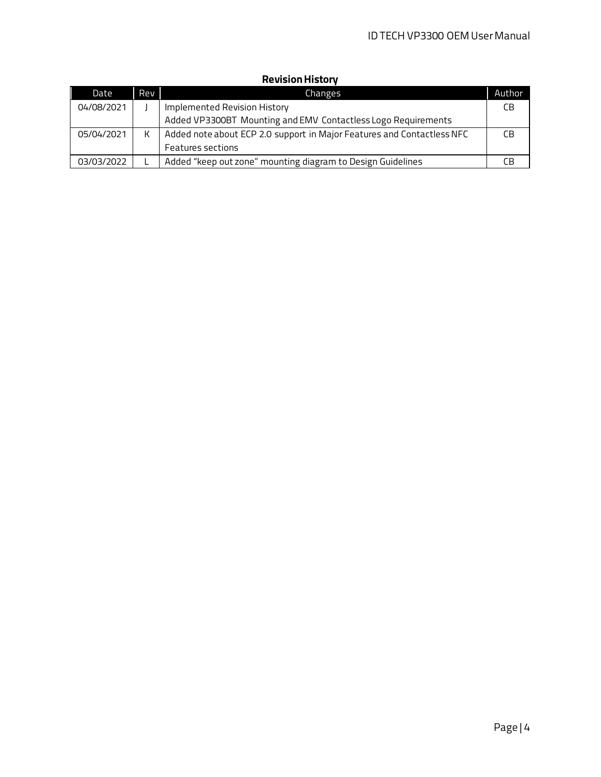| Date       | <b>Rev</b> | Changes                                                                | Author |
|------------|------------|------------------------------------------------------------------------|--------|
| 04/08/2021 |            | Implemented Revision History                                           | СB     |
|            |            | Added VP3300BT Mounting and EMV Contactless Logo Requirements          |        |
| 05/04/2021 | К          | Added note about ECP 2.0 support in Major Features and Contactless NFC | CB.    |
|            |            | <b>Features sections</b>                                               |        |
| 03/03/2022 |            | Added "keep out zone" mounting diagram to Design Guidelines            |        |

### **Revision History**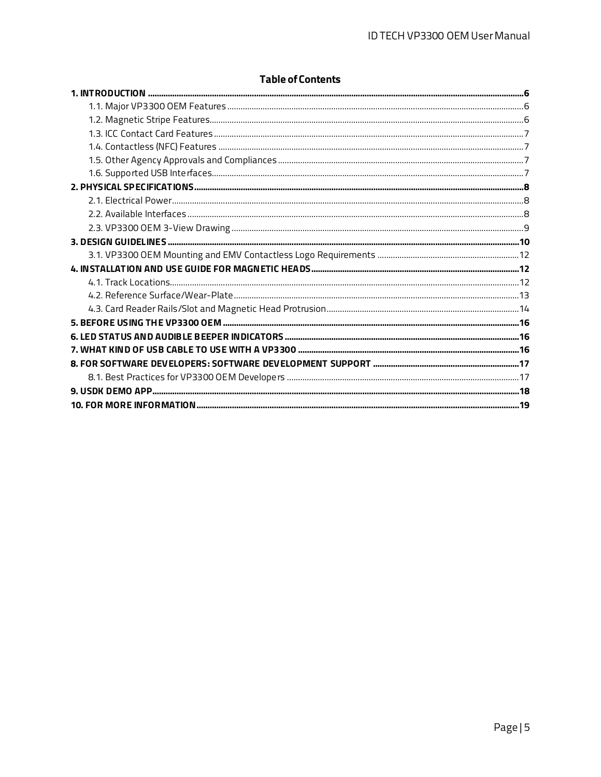#### **Table of Contents**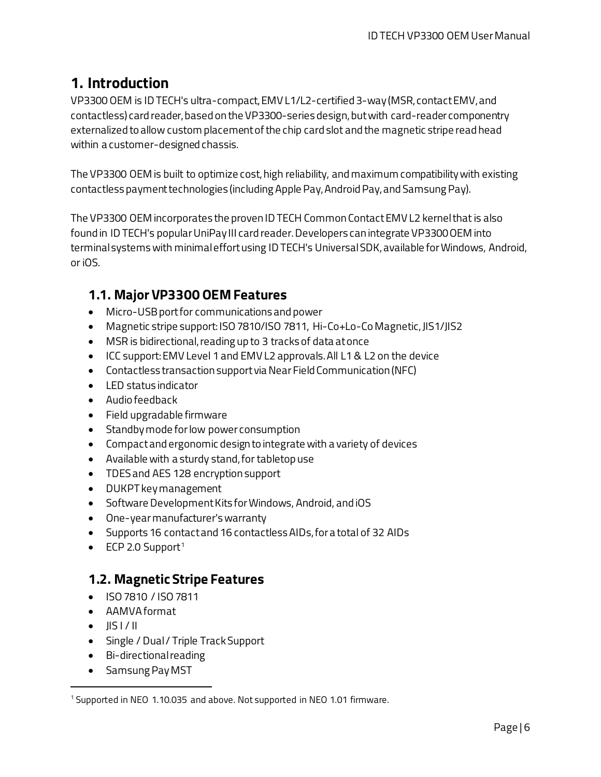# <span id="page-5-0"></span>**1. Introduction**

VP3300 OEM is ID TECH's ultra-compact, EMV L1/L2-certified 3-way (MSR, contact EMV, and contactless) card reader, based on the VP3300-series design, but with card-reader componentry externalized to allow custom placement of the chip card slot and the magnetic stripe read head within a customer-designed chassis.

The VP3300 OEM is built to optimize cost, high reliability, and maximum compatibility with existing contactless payment technologies (including Apple Pay, Android Pay, and Samsung Pay).

The VP3300 OEM incorporates the proven ID TECH Common Contact EMV L2 kernel that is also found in ID TECH's popular UniPay III card reader. Developers can integrate VP3300 OEM into terminal systems with minimal effort using ID TECH's Universal SDK, available for Windows, Android, or iOS.

## <span id="page-5-1"></span>**1.1. Major VP3300 OEMFeatures**

- Micro-USB port for communications and power
- Magnetic stripe support: ISO 7810/ISO 7811, Hi-Co+Lo-Co Magnetic, JIS1/JIS2
- MSR is bidirectional, reading up to 3 tracks of data at once
- ICC support: EMV Level 1 and EMV L2 approvals. All L1 & L2 on the device
- Contactless transaction support via Near Field Communication (NFC)
- LED status indicator
- Audio feedback
- Field upgradable firmware
- Standby mode for low power consumption
- Compact and ergonomic design to integrate with a variety of devices
- Available with a sturdy stand, for tabletop use
- TDES and AES 128 encryption support
- DUKPT key management
- Software Development Kits for Windows, Android, and iOS
- One-year manufacturer's warranty
- Supports 16 contact and 16 contactless AIDs, for a total of 32 AIDs
- ECP 2.0 Support<sup>[1](#page-5-3)</sup>

## <span id="page-5-2"></span>**1.2. Magnetic Stripe Features**

- ISO 7810 / ISO 7811
- AAMVA format
- $\bullet$  IIS I / II
- Single / Dual / Triple Track Support
- Bi-directional reading
- Samsung Pay MST

<span id="page-5-3"></span><sup>&</sup>lt;sup>1</sup> Supported in NEO 1.10.035 and above. Not supported in NEO 1.01 firmware.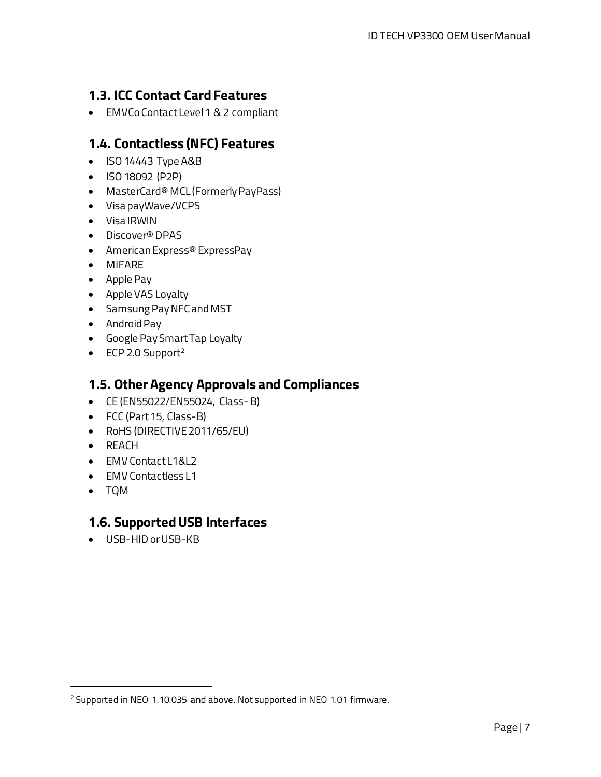# <span id="page-6-0"></span>**1.3. ICC Contact Card Features**

• EMVCo Contact Level 1 & 2 compliant

### <span id="page-6-1"></span>**1.4. Contactless (NFC) Features**

- ISO 14443 Type A&B
- ISO 18092 (P2P)
- MasterCard® MCL (Formerly PayPass)
- Visa payWave/VCPS
- Visa IRWIN
- Discover® DPAS
- American Express® ExpressPay
- MIFARE
- Apple Pay
- Apple VAS Loyalty
- Samsung Pay NFC and MST
- Android Pay
- Google Pay SmartTap Loyalty
- $\bullet$  ECP [2](#page-6-4).0 Support<sup>2</sup>

### <span id="page-6-2"></span>**1.5. Other Agency Approvals and Compliances**

- CE (EN55022/EN55024, Class- B)
- FCC (Part 15, Class-B)
- RoHS (DIRECTIVE 2011/65/EU)
- REACH
- **EMV Contact L1&L2**
- EMV Contactless L1
- TQM

### <span id="page-6-3"></span>**1.6. Supported USB Interfaces**

• USB-HID or USB-KB

<span id="page-6-4"></span><sup>&</sup>lt;sup>2</sup> Supported in NEO 1.10.035 and above. Not supported in NEO 1.01 firmware.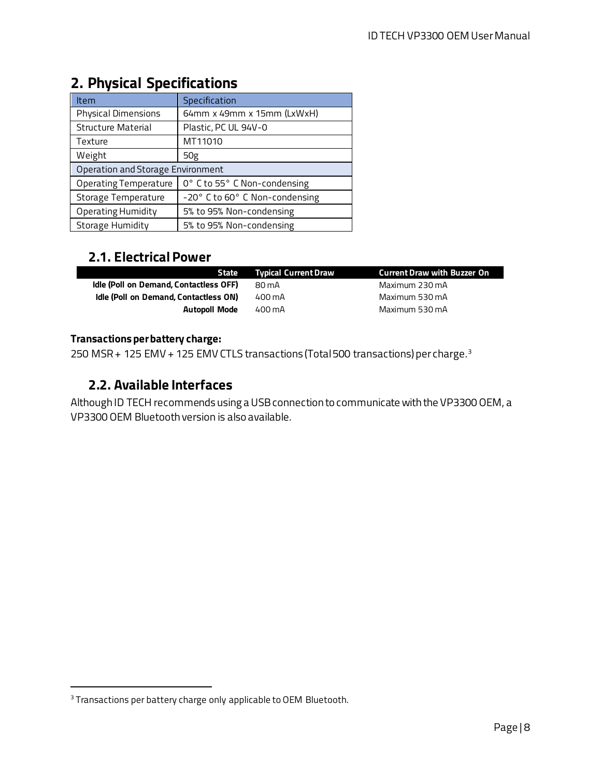| <b>Item</b>                       | Specification                  |  |  |
|-----------------------------------|--------------------------------|--|--|
| <b>Physical Dimensions</b>        | 64mm x 49mm x 15mm (LxWxH)     |  |  |
| <b>Structure Material</b>         | Plastic, PC UL 94V-0           |  |  |
| Texture                           | MT11010                        |  |  |
| Weight                            | 50 <sub>g</sub>                |  |  |
| Operation and Storage Environment |                                |  |  |
| <b>Operating Temperature</b>      | 0° C to 55° C Non-condensing   |  |  |
| Storage Temperature               | -20° C to 60° C Non-condensing |  |  |
| <b>Operating Humidity</b>         | 5% to 95% Non-condensing       |  |  |
| <b>Storage Humidity</b>           | 5% to 95% Non-condensing       |  |  |

# <span id="page-7-0"></span>**2. Physical Specifications**

# <span id="page-7-1"></span>**2.1. Electrical Power**

|                                        | <b>State</b> Typical Current Draw | <b>Current Draw with Buzzer On</b> |
|----------------------------------------|-----------------------------------|------------------------------------|
| Idle (Poll on Demand, Contactless OFF) | 80 mA                             | Maximum 230 mA                     |
| Idle (Poll on Demand, Contactless ON)  | 400 mA                            | Maximum 530 mA                     |
| Autopoll Mode                          | 400 mA                            | Maximum 530 mA                     |

#### **Transactions per battery charge:**

250 MSR + 125 EMV + 125 EMV CTLS transactions (Total 500 transactions) per charge.[3](#page-7-3)

# <span id="page-7-2"></span>**2.2. Available Interfaces**

Although ID TECH recommends using a USB connectionto communicate with the VP3300 OEM, a VP3300 OEM Bluetooth version is also available.

<span id="page-7-3"></span><sup>&</sup>lt;sup>3</sup> Transactions per battery charge only applicable to OEM Bluetooth.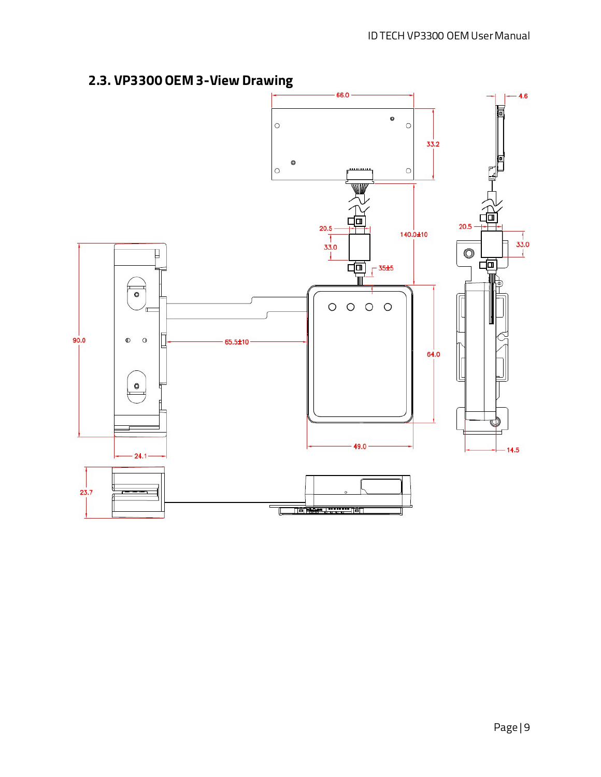# <span id="page-8-0"></span>**2.3. VP3300 OEM 3-View Drawing**

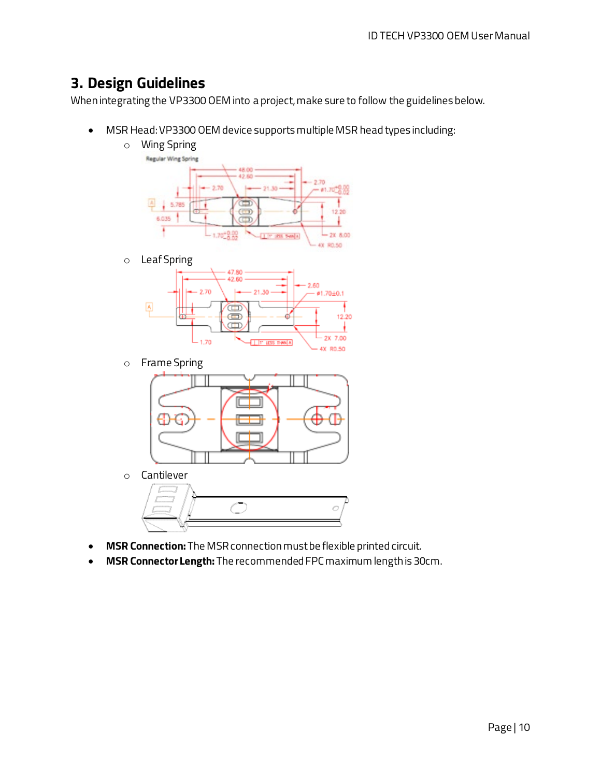# <span id="page-9-0"></span>**3. Design Guidelines**

When integrating the VP3300 OEM into a project, make sure to follow the guidelines below.

• MSR Head: VP3300 OEM device supports multiple MSR head types including:



o Cantilever



- **MSR Connection:** The MSR connection must be flexible printed circuit.
- **MSR Connector Length:** The recommended FPC maximum length is 30cm.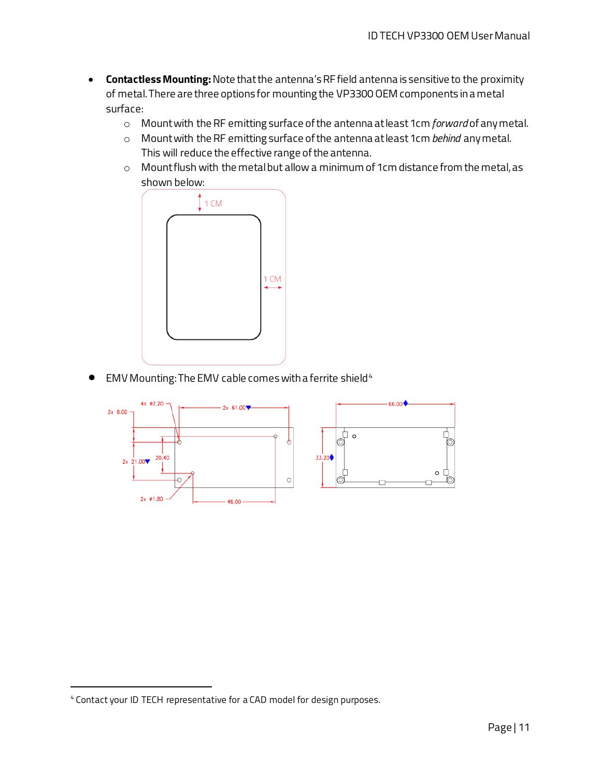- **Contactless Mounting:** Note that the antenna's RF field antenna is sensitive to the proximity of metal. There are three options for mounting the VP3300 OEM components in a metal surface:
	- o Mount with the RF emitting surface of the antenna at least 1cm *forward* of any metal.
	- o Mount with the RF emitting surface of the antenna at least 1cm *behind* any metal. This will reduce the effective range of the antenna.
	- o Mount flush with the metal but allow a minimum of 1cm distance from the metal, as shown below:



• EMV Mounting: The EMV cable comes with a ferrite shield<sup>[4](#page-10-0)</sup>



<span id="page-10-0"></span><sup>4</sup> Contact your ID TECH representative for a CAD model for design purposes.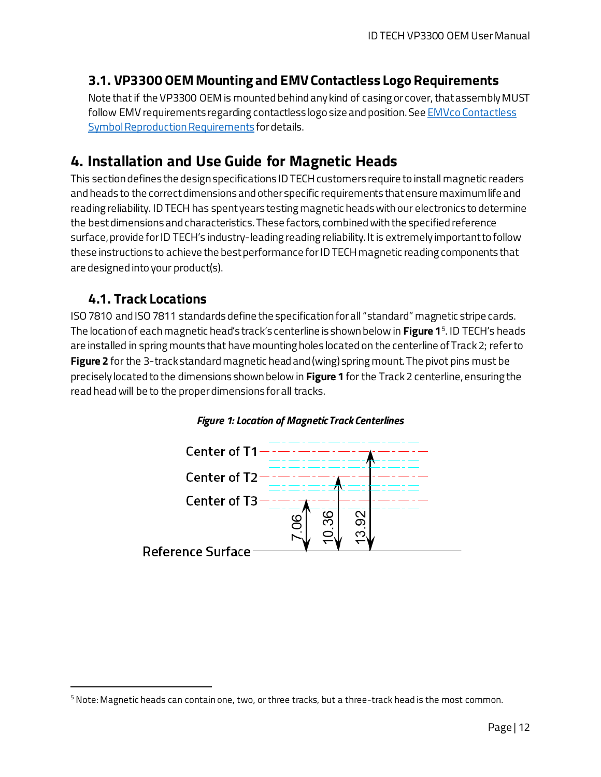# <span id="page-11-0"></span>**3.1. VP3300 OEMMounting and EMV Contactless Logo Requirements**

Note that if the VP3300 OEM is mounted behind any kind of casing or cover, that assembly MUST follow EMV requirements regarding contactless logo size and position. See **EMVco Contactless** [Symbol Reproduction Requirements](https://www.emvco.com/wp-content/uploads/2017/03/8.4.4-EMVCo-Contactless-SYMBOL-Reproduction-Requirements.pdf) for details.

# <span id="page-11-1"></span>**4. Installation and Use Guide for Magnetic Heads**

This sectiondefines the design specifications ID TECH customers require to install magnetic readers and heads to the correct dimensions and other specific requirements that ensure maximum life and reading reliability. ID TECH has spent years testing magnetic heads with our electronics to determine the best dimensions and characteristics. These factors, combined with the specified reference surface, provide for ID TECH's industry-leading reading reliability. It is extremely important to follow these instructions to achieve the best performance for ID TECH magnetic reading components that are designed into your product(s).

### <span id="page-11-2"></span>**4.1. Track Locations**

ISO 7810 and ISO 7811 standards define the specification for all "standard" magnetic stripe cards. The location of each magnetic head's track's centerline is shown below in **Figure 1**[5.](#page-11-3) ID TECH's heads are installed in spring mounts that have mounting holes located on the centerline of Track 2; refer to **Figure 2** for the 3-track standard magnetic head and (wing) spring mount. The pivot pins must be precisely located to the dimensions shown below in **Figure 1** for the Track 2 centerline, ensuring the read head will be to the proper dimensions for all tracks.



#### *Figure 1: Location of Magnetic Track Centerlines*

<span id="page-11-3"></span> $^5$  Note: Magnetic heads can contain one, two, or three tracks, but a three-track head is the most common.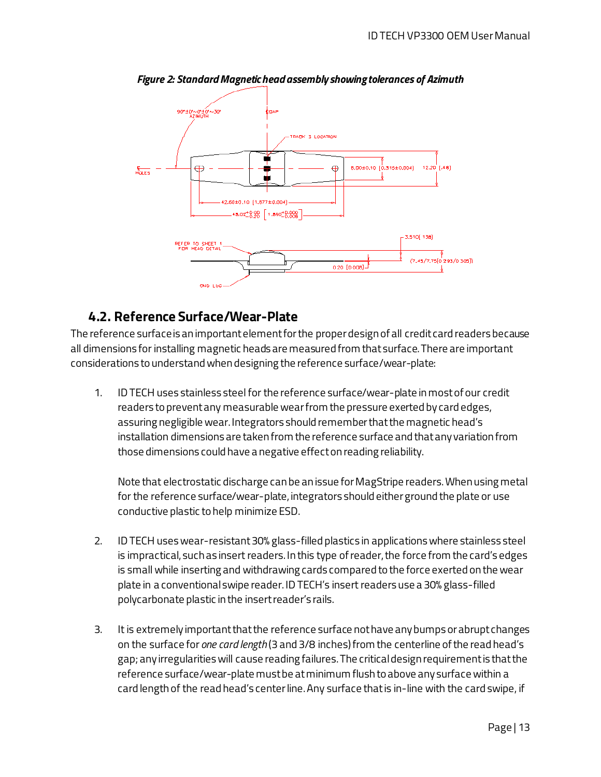

*Figure 2: Standard Magnetic head assembly showing tolerances of Azimuth*

### <span id="page-12-0"></span>**4.2. Reference Surface/Wear-Plate**

The reference surface is an important element for the proper design of all credit card readers because all dimensions for installing magnetic heads are measured from that surface. There are important considerations to understand when designing the reference surface/wear-plate:

1. ID TECH uses stainless steel for the reference surface/wear-plate in most of our credit readers to preventany measurable wear from the pressure exerted by card edges, assuring negligible wear. Integrators should remember that the magnetic head's installation dimensions are taken from the reference surface and that any variation from those dimensions could have a negative effect on reading reliability.

Note that electrostatic discharge can be an issue for MagStripe readers. When using metal for the reference surface/wear-plate, integrators should either ground the plate or use conductive plastic to help minimize ESD.

- 2. ID TECH uses wear-resistant 30% glass-filled plastics in applications where stainless steel is impractical, such as insert readers. In this type of reader, the force from the card's edges is small while inserting and withdrawing cards compared to the force exerted on the wear plate in a conventional swipe reader. ID TECH's insert readers use a 30% glass-filled polycarbonate plastic in the insert reader's rails.
- 3. It is extremely important that the reference surface not have any bumps or abrupt changes on the surface for *one card length* (3 and 3/8 inches) from the centerline of the read head's gap; any irregularities will cause reading failures. The critical design requirement is that the reference surface/wear-plate must be at minimum flush to above any surface within a card length of the read head's center line. Any surface that is in-line with the card swipe, if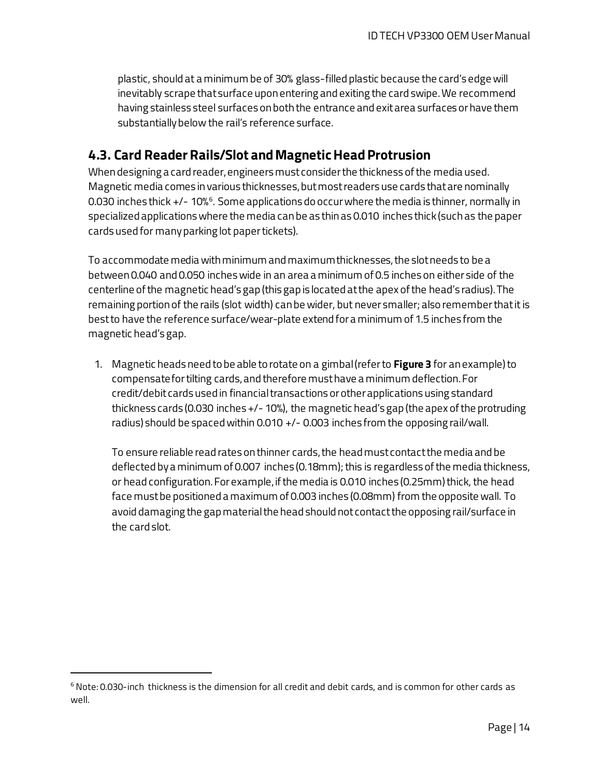plastic, should at a minimum be of 30% glass-filled plastic because the card's edge will inevitably scrape that surface upon entering and exiting the card swipe. We recommend having stainless steel surfaces on both the entrance and exit area surfaces orhave them substantially below the rail's reference surface.

### <span id="page-13-0"></span>**4.3. Card Reader Rails/Slot and Magnetic Head Protrusion**

When designing a card reader, engineers must consider the thickness of the media used. Magnetic media comes in various thicknesses, but most readers use cards that are nominally 0.030 inches thick +/- 10%<sup>6</sup>. Some applications do occur where the media is thinner, normally in specialized applications where the media can be as thin as 0.010 inches thick (such as the paper cards used for many parking lot paper tickets).

To accommodate media with minimum and maximum thicknesses,the slot needs to be a between 0.040 and 0.050 inches wide in an area a minimum of 0.5 inches on either side of the centerline of the magnetic head's gap (this gap is located at the apex of the head's radius). The remaining portion of the rails (slot width) can be wider, but never smaller; also remember that it is best to have the reference surface/wear-plate extend for a minimum of 1.5 inches from the magnetic head's gap.

1. Magnetic heads need to be able to rotate on a gimbal (refer to **Figure 3** for an example) to compensate for tilting cards,and therefore must have a minimum deflection. For credit/debit cards used in financial transactions or other applications using standard thickness cards (0.030 inches +/- 10%), the magnetic head's gap (the apex of the protruding radius) should be spaced within 0.010 +/- 0.003 inches from the opposing rail/wall.

To ensure reliable read rates on thinner cards, the head must contact the media and be deflected by a minimum of 0.007 inches (0.18mm); this is regardless of the media thickness, or head configuration. For example, if the media is 0.010 inches (0.25mm) thick, the head face must be positioned a maximum of 0.003 inches (0.08mm) from the opposite wall. To avoid damaging the gap material the head should not contact the opposing rail/surface in the card slot.

<span id="page-13-1"></span> $6$  Note: 0.030-inch thickness is the dimension for all credit and debit cards, and is common for other cards as well.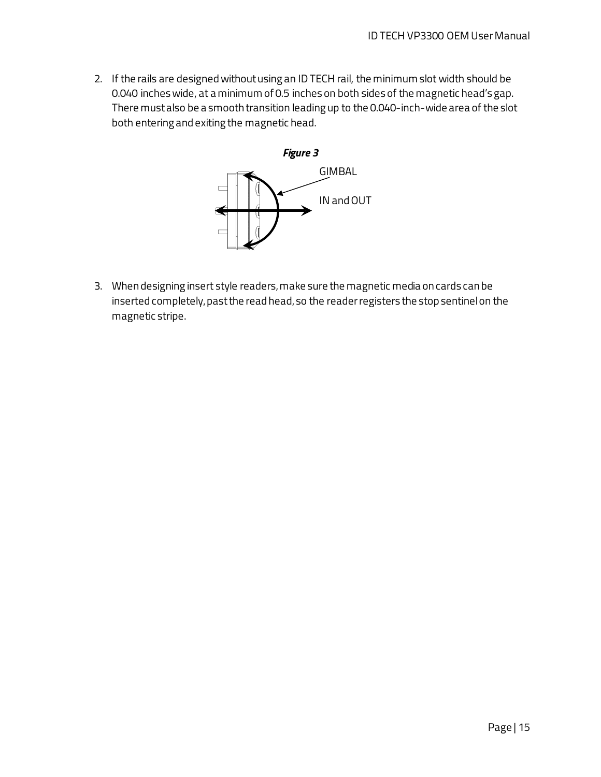2. If the rails are designed without using an ID TECH rail, the minimum slot width should be 0.040 inches wide, at a minimum of 0.5 inches on both sides of the magnetic head's gap. There must also be a smooth transition leading up to the 0.040-inch-wide area of the slot both entering and exiting the magnetic head.



3. When designing insert style readers, make sure the magnetic media on cards can be inserted completely, past the read head, so the reader registers the stop sentinel on the magnetic stripe.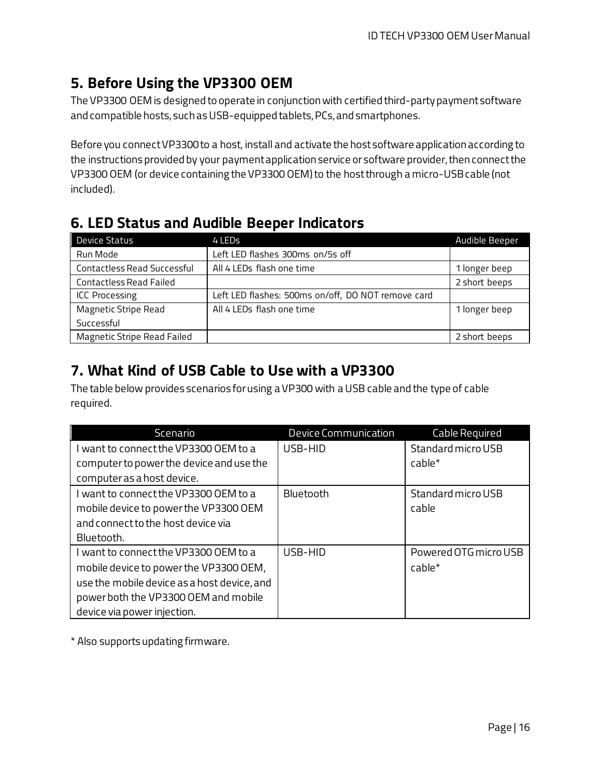# <span id="page-15-0"></span>**5. Before Using the VP3300 OEM**

The VP3300 OEM is designed to operate in conjunction with certified third-party payment software and compatible hosts, such as USB-equipped tablets, PCs, and smartphones.

Before you connect VP3300 to a host, install and activate the host software application according to the instructions provided by your payment application service or software provider, then connect the VP3300 OEM (or device containing the VP3300 OEM) to the host through a micro-USB cable (not included).

# <span id="page-15-1"></span>**6. LED Status and Audible Beeper Indicators**

| Device Status                      | 4 LEDs                                             | <b>Audible Beeper</b> |
|------------------------------------|----------------------------------------------------|-----------------------|
| Run Mode                           | Left LED flashes 300ms on/5s off                   |                       |
| <b>Contactless Read Successful</b> | All 4 LEDs flash one time                          | 1 longer beep         |
| <b>Contactless Read Failed</b>     |                                                    | 2 short beeps         |
| <b>ICC Processing</b>              | Left LED flashes: 500ms on/off, DO NOT remove card |                       |
| <b>Magnetic Stripe Read</b>        | All 4 LEDs flash one time                          | 1 longer beep         |
| Successful                         |                                                    |                       |
| <b>Magnetic Stripe Read Failed</b> |                                                    | 2 short beeps         |

# <span id="page-15-2"></span>**7. What Kind of USB Cable to Use with a VP3300**

The table below provides scenarios for using a VP300 with a USB cable and the type of cable required.

| Scenario                                    | <b>Device Communication</b> | Cable Required        |
|---------------------------------------------|-----------------------------|-----------------------|
| want to connect the VP3300 OEM to a         | USB-HID                     | Standard micro USB    |
| computer to power the device and use the    |                             | cable*                |
| computer as a host device.                  |                             |                       |
| want to connect the VP3300 OEM to a         | Bluetooth                   | Standard micro USB    |
| mobile device to power the VP3300 OEM       |                             | cable                 |
| and connect to the host device via          |                             |                       |
| Bluetooth.                                  |                             |                       |
| I want to connect the VP3300 OEM to a       | USB-HID                     | Powered OTG micro USB |
| mobile device to power the VP3300 OEM,      |                             | $cable*$              |
| use the mobile device as a host device, and |                             |                       |
| power both the VP3300 OEM and mobile        |                             |                       |
| device via power injection.                 |                             |                       |

\* Also supports updating firmware.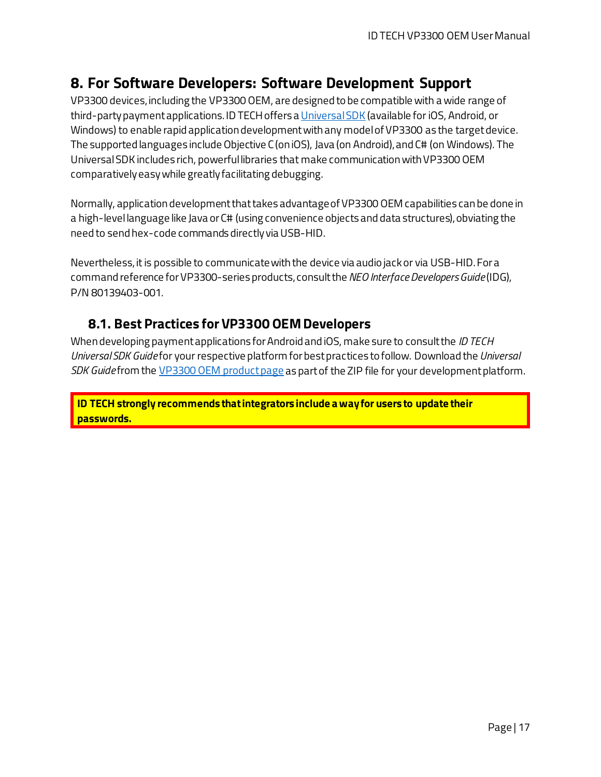# <span id="page-16-0"></span>**8. For Software Developers: Software Development Support**

VP3300 devices, including the VP3300 OEM, are designed to be compatible with a wide range of third-party payment applications. ID TECH offers a [Universal SDK](https://atlassian.idtechproducts.com/confluence/display/KB/uDemo+%28USDK_DEMO%29+-+Home) (available for iOS, Android, or Windows) to enable rapid application development with any model of VP3300 as the target device. The supported languages include Objective C (on iOS), Java (on Android), and C# (on Windows). The Universal SDK includes rich, powerful libraries that make communication with VP3300 OEM comparatively easy while greatly facilitating debugging.

Normally, application development that takes advantage of VP3300 OEM capabilities can be done in a high-level language like Java or C# (using convenience objects and data structures), obviating the need to send hex-code commands directly via USB-HID.

Nevertheless, it is possible to communicate with the device via audio jack or via USB-HID. For a command reference for VP3300-series products, consult the *NEO Interface Developers Guide* (IDG), P/N 80139403-001.

### <span id="page-16-1"></span>**8.1. Best Practices for VP3300 OEMDevelopers**

When developing payment applications for Android and iOS, make sure to consult the *ID TECH Universal SDK Guide* for your respective platform for best practices to follow. Download the *Universal SDK Guide* from the [VP3300 OEM](https://atlassian.idtechproducts.com/confluence/display/KB/VP3300BT+%28IDMR-BT93133xx%29+-+Home) product page as part of the ZIP file for your development platform.

**ID TECH strongly recommends that integrators include a way for users to update their passwords.**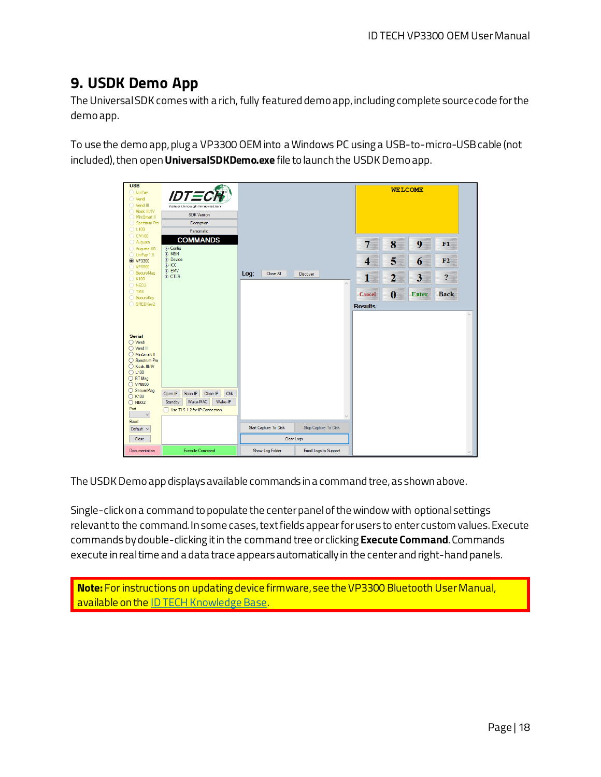# <span id="page-17-0"></span>**9. USDK Demo App**

The Universal SDK comes with a rich, fully featured demo app, including complete source code for the demo app.

To use the demo app,plug a VP3300 OEM into a Windows PC using a USB-to-micro-USB cable (not included), then open**UniversalSDKDemo.exe** file to launch the USDK Demo app.



The USDK Demo app displays available commands in a command tree, as shown above.

Single-click on a command to populate the center panel of the window with optional settings relevant to the command. In some cases, text fields appear for users to enter custom values. Execute commands bydouble-clicking it in the command tree or clicking **Execute Command**. Commands execute in real time and a data trace appears automatically in the center and right-hand panels.

**Note:** For instructions on updating device firmware, see the VP3300 Bluetooth User Manual, available on the [ID TECH Knowledge Base.](https://atlassian.idtechproducts.com/confluence/x/Pg2pAQ)